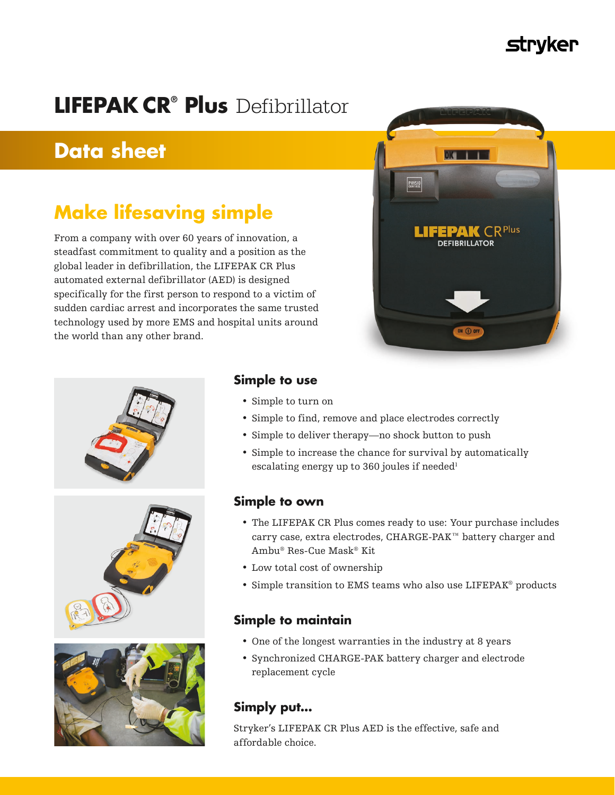# strvker

# **LIFEPAK CR® Plus** Defibrillator

# **Data sheet**

# **Make lifesaving simple**

From a company with over 60 years of innovation, a steadfast commitment to quality and a position as the global leader in defibrillation, the LIFEPAK CR Plus automated external defibrillator (AED) is designed specifically for the first person to respond to a victim of sudden cardiac arrest and incorporates the same trusted technology used by more EMS and hospital units around the world than any other brand.









## **Simple to use**

- Simple to turn on
- Simple to find, remove and place electrodes correctly
- Simple to deliver therapy—no shock button to push
- Simple to increase the chance for survival by automatically escalating energy up to 360 joules if needed<sup>1</sup>

## **Simple to own**

- The LIFEPAK CR Plus comes ready to use: Your purchase includes carry case, extra electrodes, CHARGE-PAK™ battery charger and Ambu® Res-Cue Mask® Kit
- Low total cost of ownership
- Simple transition to EMS teams who also use LIFEPAK® products

## **Simple to maintain**

- One of the longest warranties in the industry at 8 years
- Synchronized CHARGE-PAK battery charger and electrode replacement cycle

# **Simply put...**

Stryker's LIFEPAK CR Plus AED is the effective, safe and affordable choice.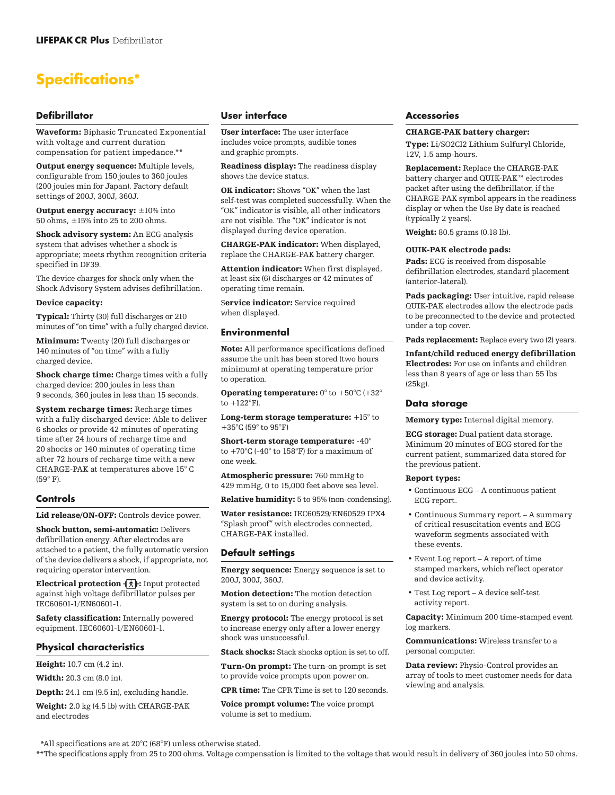# **Specifications\***

## **Defibrillator**

Waveform: Biphasic Truncated Exponential with voltage and current duration compensation for patient impedance.\*\*

Output energy sequence: Multiple levels, configurable from 150 joules to 360 joules (200 joules min for Japan). Factory default settings of 200J, 300J, 360J.

Output energy accuracy: ±10% into 50 ohms, ±15% into 25 to 200 ohms.

Shock advisory system: An ECG analysis system that advises whether a shock is appropriate; meets rhythm recognition criteria specified in DF39.

The device charges for shock only when the Shock Advisory System advises defibrillation.

#### Device capacity:

Typical: Thirty (30) full discharges or 210 minutes of "on time" with a fully charged device.

Minimum: Twenty (20) full discharges or 140 minutes of "on time" with a fully charged device.

Shock charge time: Charge times with a fully charged device: 200 joules in less than 9 seconds, 360 joules in less than 15 seconds.

System recharge times: Recharge times with a fully discharged device: Able to deliver 6 shocks or provide 42 minutes of operating time after 24 hours of recharge time and 20 shocks or 140 minutes of operating time after 72 hours of recharge time with a new CHARGE-PAK at temperatures above 15° C  $(59° F)$ 

### **Controls**

Lid release/ON-OFF: Controls device power.

Shock button, semi-automatic: Delivers defibrillation energy. After electrodes are attached to a patient, the fully automatic version of the device delivers a shock, if appropriate, not requiring operator intervention.

**Electrical protection**  $\vec{x}$ **:** Input protected against high voltage defibrillator pulses per IEC60601-1/EN60601-1.

Safety classification: Internally powered equipment. IEC60601-1/EN60601-1.

## **Physical characteristics**

Height: 10.7 cm (4.2 in).

Width: 20.3 cm (8.0 in).

Depth: 24.1 cm (9.5 in), excluding handle.

Weight: 2.0 kg (4.5 lb) with CHARGE-PAK and electrodes

### **User interface**

User interface: The user interface includes voice prompts, audible tones and graphic prompts.

Readiness display: The readiness display shows the device status.

OK indicator: Shows "OK" when the last self-test was completed successfully. When the "OK" indicator is visible, all other indicators are not visible. The "OK" indicator is not displayed during device operation.

CHARGE-PAK indicator: When displayed, replace the CHARGE-PAK battery charger.

Attention indicator: When first displayed. at least six (6) discharges or 42 minutes of operating time remain.

Service indicator: Service required when displayed.

### **Environmental**

Note: All performance specifications defined assume the unit has been stored (two hours minimum) at operating temperature prior to operation.

**Operating temperature:**  $0^{\circ}$  to  $+50^{\circ}$ C ( $+32^{\circ}$ to +122°F).

Long-term storage temperature: +15° to +35°C (59° to 95°F)

Short-term storage temperature: -40° to  $+70^{\circ}$ C (-40 $^{\circ}$  to 158 $^{\circ}$ F) for a maximum of one week.

Atmospheric pressure: 760 mmHg to 429 mmHg, 0 to 15,000 feet above sea level.

Relative humidity: 5 to 95% (non-condensing).

Water resistance: IEC60529/EN60529 IPX4 "Splash proof" with electrodes connected, CHARGE-PAK installed.

#### **Default settings**

Energy sequence: Energy sequence is set to 200J, 300J, 360J.

Motion detection: The motion detection system is set to on during analysis.

**Energy protocol:** The energy protocol is set to increase energy only after a lower energy shock was unsuccessful.

Stack shocks: Stack shocks option is set to off.

Turn-On prompt: The turn-on prompt is set to provide voice prompts upon power on.

CPR time: The CPR Time is set to 120 seconds.

Voice prompt volume: The voice prompt volume is set to medium.

#### **Accessories**

#### CHARGE-PAK battery charger:

Type: Li/SO2Cl2 Lithium Sulfuryl Chloride, 12V, 1.5 amp-hours.

Replacement: Replace the CHARGE-PAK battery charger and QUIK-PAK™ electrodes packet after using the defibrillator, if the CHARGE-PAK symbol appears in the readiness display or when the Use By date is reached (typically 2 years).

Weight: 80.5 grams (0.18 lb).

#### QUIK-PAK electrode pads:

Pads: ECG is received from disposable defibrillation electrodes, standard placement (anterior-lateral).

Pads packaging: User intuitive, rapid release QUIK-PAK electrodes allow the electrode pads to be preconnected to the device and protected under a top cover.

Pads replacement: Replace every two (2) years.

Infant/child reduced energy defibrillation Electrodes: For use on infants and children less than 8 years of age or less than 55 lbs (25kg).

#### **Data storage**

Memory type: Internal digital memory.

ECG storage: Dual patient data storage. Minimum 20 minutes of ECG stored for the current patient, summarized data stored for the previous patient.

#### Report types:

- Continuous ECG A continuous patient ECG report.
- Continuous Summary report A summary of critical resuscitation events and ECG waveform segments associated with these events.
- Event Log report A report of time stamped markers, which reflect operator and device activity.
- Test Log report A device self-test activity report.

Capacity: Minimum 200 time-stamped event log markers.

Communications: Wireless transfer to a personal computer.

Data review: Physio-Control provides an array of tools to meet customer needs for data viewing and analysis.

\*All specifications are at 20°C (68°F) unless otherwise stated.

\*\*The specifications apply from 25 to 200 ohms. Voltage compensation is limited to the voltage that would result in delivery of 360 joules into 50 ohms.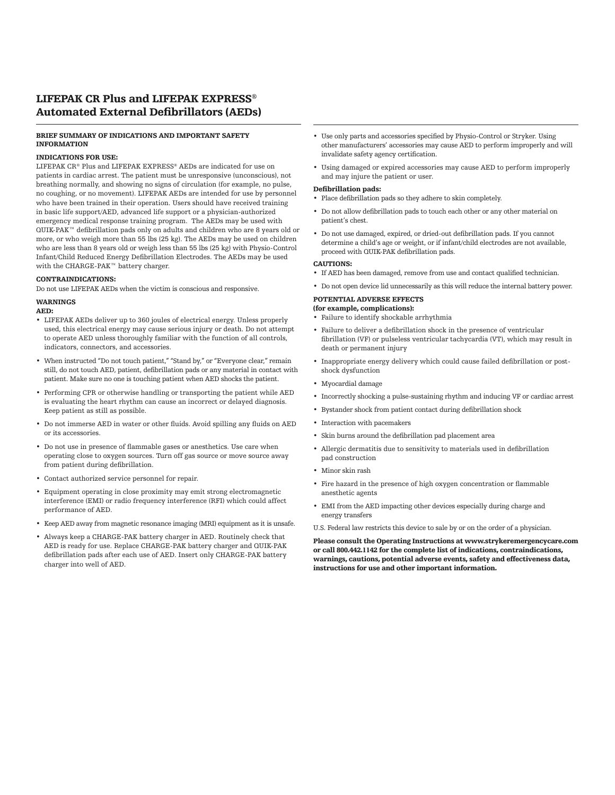## LIFEPAK CR Plus and LIFEPAK EXPRESS® Automated External Defibrillators (AEDs)

#### BRIEF SUMMARY OF INDICATIONS AND IMPORTANT SAFETY INFORMATION

#### INDICATIONS FOR USE:

LIFEPAK CR® Plus and LIFEPAK EXPRESS® AEDs are indicated for use on patients in cardiac arrest. The patient must be unresponsive (unconscious), not breathing normally, and showing no signs of circulation (for example, no pulse, no coughing, or no movement). LIFEPAK AEDs are intended for use by personnel who have been trained in their operation. Users should have received training in basic life support/AED, advanced life support or a physician-authorized emergency medical response training program. The AEDs may be used with QUIK-PAK™ defibrillation pads only on adults and children who are 8 years old or more, or who weigh more than 55 lbs (25 kg). The AEDs may be used on children who are less than 8 years old or weigh less than 55 lbs (25 kg) with Physio-Control Infant/Child Reduced Energy Defibrillation Electrodes. The AEDs may be used with the CHARGE-PAK™ battery charger.

#### CONTRAINDICATIONS:

Do not use LIFEPAK AEDs when the victim is conscious and responsive.

#### WARNINGS

#### AED:

- LIFEPAK AEDs deliver up to 360 joules of electrical energy. Unless properly used, this electrical energy may cause serious injury or death. Do not attempt to operate AED unless thoroughly familiar with the function of all controls, indicators, connectors, and accessories.
- When instructed "Do not touch patient," "Stand by," or "Everyone clear," remain still, do not touch AED, patient, defibrillation pads or any material in contact with patient. Make sure no one is touching patient when AED shocks the patient.
- Performing CPR or otherwise handling or transporting the patient while AED is evaluating the heart rhythm can cause an incorrect or delayed diagnosis. Keep patient as still as possible.
- Do not immerse AED in water or other fluids. Avoid spilling any fluids on AED or its accessories.
- Do not use in presence of flammable gases or anesthetics. Use care when operating close to oxygen sources. Turn off gas source or move source away from patient during defibrillation.
- Contact authorized service personnel for repair.
- Equipment operating in close proximity may emit strong electromagnetic interference (EMI) or radio frequency interference (RFI) which could affect performance of AED.
- Keep AED away from magnetic resonance imaging (MRI) equipment as it is unsafe.
- Always keep a CHARGE-PAK battery charger in AED. Routinely check that AED is ready for use. Replace CHARGE-PAK battery charger and QUIK-PAK defibrillation pads after each use of AED. Insert only CHARGE-PAK battery charger into well of AED.
- Use only parts and accessories specified by Physio-Control or Stryker. Using other manufacturers' accessories may cause AED to perform improperly and will invalidate safety agency certification.
- Using damaged or expired accessories may cause AED to perform improperly and may injure the patient or user.

#### Defibrillation pads:

- Place defibrillation pads so they adhere to skin completely.
- Do not allow defibrillation pads to touch each other or any other material on patient's chest.
- Do not use damaged, expired, or dried-out defibrillation pads. If you cannot determine a child's age or weight, or if infant/child electrodes are not available, proceed with QUIK-PAK defibrillation pads.

#### CAUTIONS:

- If AED has been damaged, remove from use and contact qualified technician.
- Do not open device lid unnecessarily as this will reduce the internal battery power.

#### POTENTIAL ADVERSE EFFECTS

- (for example, complications): • Failure to identify shockable arrhythmia
- Failure to deliver a defibrillation shock in the presence of ventricular fibrillation (VF) or pulseless ventricular tachycardia (VT), which may result in death or permanent injury
- Inappropriate energy delivery which could cause failed defibrillation or postshock dysfunction
- Myocardial damage
- Incorrectly shocking a pulse-sustaining rhythm and inducing VF or cardiac arrest
- Bystander shock from patient contact during defibrillation shock
- Interaction with pacemakers
- Skin burns around the defibrillation pad placement area
- Allergic dermatitis due to sensitivity to materials used in defibrillation pad construction
- Minor skin rash
- Fire hazard in the presence of high oxygen concentration or flammable anesthetic agents
- EMI from the AED impacting other devices especially during charge and energy transfers

U.S. Federal law restricts this device to sale by or on the order of a physician.

Please consult the Operating Instructions at www.strykeremergencycare.com or call 800.442.1142 for the complete list of indications, contraindications, warnings, cautions, potential adverse events, safety and effectiveness data, instructions for use and other important information.